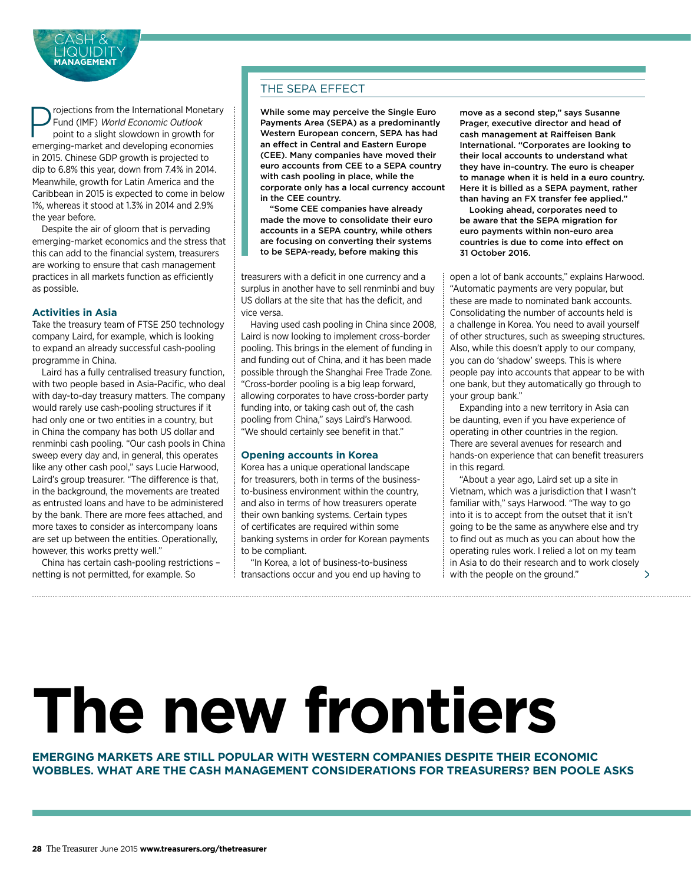#### CASH & LIQUIDITY **MANAGEMENT**

rojections from the International Monetary Fund (IMF) World Economic Outlook point to a slight slowdown in growth for emerging-market and developing economies in 2015. Chinese GDP growth is projected to dip to 6.8% this year, down from 7.4% in 2014. Meanwhile, growth for Latin America and the Caribbean in 2015 is expected to come in below 1%, whereas it stood at 1.3% in 2014 and 2.9% the year before.

Despite the air of gloom that is pervading emerging-market economics and the stress that this can add to the financial system, treasurers are working to ensure that cash management practices in all markets function as efficiently as possible.

#### **Activities in Asia**

Take the treasury team of FTSE 250 technology company Laird, for example, which is looking to expand an already successful cash-pooling programme in China.

Laird has a fully centralised treasury function, with two people based in Asia-Pacific, who deal with day-to-day treasury matters. The company would rarely use cash-pooling structures if it had only one or two entities in a country, but in China the company has both US dollar and renminbi cash pooling. "Our cash pools in China sweep every day and, in general, this operates like any other cash pool," says Lucie Harwood, Laird's group treasurer. "The difference is that, in the background, the movements are treated as entrusted loans and have to be administered by the bank. There are more fees attached, and more taxes to consider as intercompany loans are set up between the entities. Operationally, however, this works pretty well."

China has certain cash-pooling restrictions – netting is not permitted, for example. So

### THE SEPA EFFECT

While some may perceive the Single Euro Payments Area (SEPA) as a predominantly Western European concern, SEPA has had an effect in Central and Eastern Europe (CEE). Many companies have moved their euro accounts from CEE to a SEPA country with cash pooling in place, while the corporate only has a local currency account in the CEE country.

"Some CEE companies have already made the move to consolidate their euro accounts in a SEPA country, while others are focusing on converting their systems to be SEPA-ready, before making this

treasurers with a deficit in one currency and a surplus in another have to sell renminbi and buy US dollars at the site that has the deficit, and vice versa.

Having used cash pooling in China since 2008, Laird is now looking to implement cross-border pooling. This brings in the element of funding in and funding out of China, and it has been made possible through the Shanghai Free Trade Zone. "Cross-border pooling is a big leap forward, allowing corporates to have cross-border party funding into, or taking cash out of, the cash pooling from China," says Laird's Harwood. "We should certainly see benefit in that."

#### **Opening accounts in Korea**

Korea has a unique operational landscape for treasurers, both in terms of the businessto-business environment within the country, and also in terms of how treasurers operate their own banking systems. Certain types of certificates are required within some banking systems in order for Korean payments to be compliant.

"In Korea, a lot of business-to-business transactions occur and you end up having to move as a second step," says Susanne Prager, executive director and head of cash management at Raiffeisen Bank International. "Corporates are looking to their local accounts to understand what they have in-country. The euro is cheaper to manage when it is held in a euro country. Here it is billed as a SEPA payment, rather than having an FX transfer fee applied."

Looking ahead, corporates need to be aware that the SEPA migration for euro payments within non-euro area countries is due to come into effect on 31 October 2016.

open a lot of bank accounts," explains Harwood. "Automatic payments are very popular, but these are made to nominated bank accounts. Consolidating the number of accounts held is a challenge in Korea. You need to avail yourself of other structures, such as sweeping structures. Also, while this doesn't apply to our company, you can do 'shadow' sweeps. This is where people pay into accounts that appear to be with one bank, but they automatically go through to your group bank."

Expanding into a new territory in Asia can be daunting, even if you have experience of operating in other countries in the region. There are several avenues for research and hands-on experience that can benefit treasurers in this regard.

"About a year ago, Laird set up a site in Vietnam, which was a jurisdiction that I wasn't familiar with," says Harwood. "The way to go into it is to accept from the outset that it isn't going to be the same as anywhere else and try to find out as much as you can about how the operating rules work. I relied a lot on my team in Asia to do their research and to work closely with the people on the ground." $\rightarrow$ 

# **The new frontiers**

**EMERGING MARKETS ARE STILL POPULAR WITH WESTERN COMPANIES DESPITE THEIR ECONOMIC WOBBLES. WHAT ARE THE CASH MANAGEMENT CONSIDERATIONS FOR TREASURERS? BEN POOLE ASKS**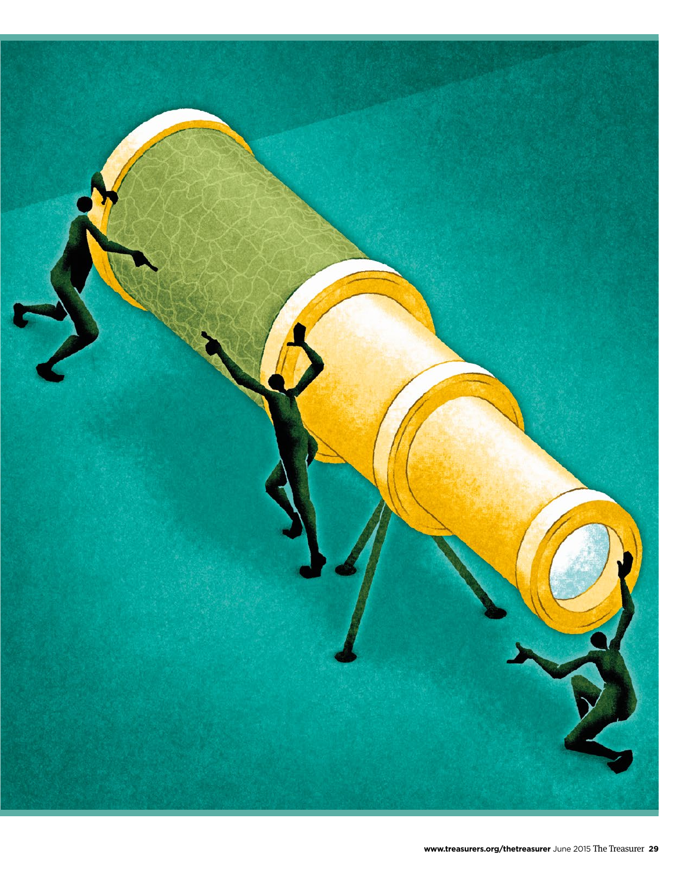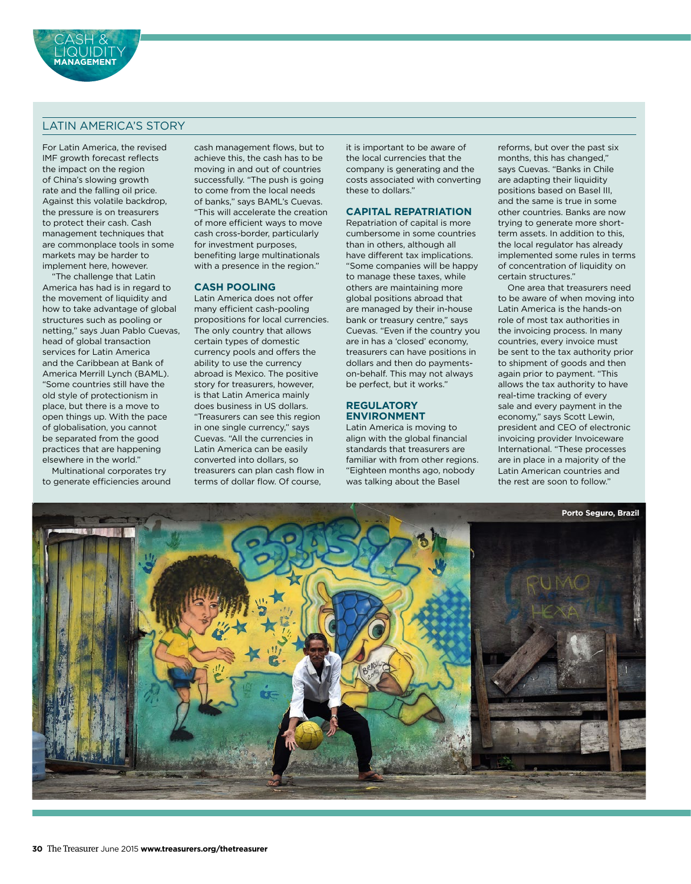CASH & LIQUIDITY **MANAGEMENT**

For Latin America, the revised IMF growth forecast reflects the impact on the region of China's slowing growth rate and the falling oil price. Against this volatile backdrop, the pressure is on treasurers to protect their cash. Cash management techniques that are commonplace tools in some markets may be harder to implement here, however.

"The challenge that Latin America has had is in regard to the movement of liquidity and how to take advantage of global structures such as pooling or netting," says Juan Pablo Cuevas, head of global transaction services for Latin America and the Caribbean at Bank of America Merrill Lynch (BAML). "Some countries still have the old style of protectionism in place, but there is a move to open things up. With the pace of globalisation, you cannot be separated from the good practices that are happening elsewhere in the world."

Multinational corporates try to generate efficiencies around cash management flows, but to achieve this, the cash has to be moving in and out of countries successfully. "The push is going to come from the local needs of banks," says BAML's Cuevas. "This will accelerate the creation of more efficient ways to move cash cross-border, particularly for investment purposes, benefiting large multinationals with a presence in the region."

#### **CASH POOLING**

Latin America does not offer many efficient cash-pooling propositions for local currencies. The only country that allows certain types of domestic currency pools and offers the ability to use the currency abroad is Mexico. The positive story for treasurers, however, is that Latin America mainly does business in US dollars. "Treasurers can see this region in one single currency," says Cuevas. "All the currencies in Latin America can be easily converted into dollars, so treasurers can plan cash flow in terms of dollar flow. Of course,

it is important to be aware of the local currencies that the company is generating and the costs associated with converting these to dollars."

#### **CAPITAL REPATRIATION**

Repatriation of capital is more cumbersome in some countries than in others, although all have different tax implications. "Some companies will be happy to manage these taxes, while others are maintaining more global positions abroad that are managed by their in-house bank or treasury centre," says Cuevas. "Even if the country you are in has a 'closed' economy, treasurers can have positions in dollars and then do paymentson-behalf. This may not always be perfect, but it works."

#### **REGULATORY ENVIRONMENT**

Latin America is moving to align with the global financial standards that treasurers are familiar with from other regions. "Eighteen months ago, nobody was talking about the Basel

reforms, but over the past six months, this has changed," says Cuevas. "Banks in Chile are adapting their liquidity positions based on Basel III, and the same is true in some other countries. Banks are now trying to generate more shortterm assets. In addition to this, the local regulator has already implemented some rules in terms of concentration of liquidity on certain structures."

One area that treasurers need to be aware of when moving into Latin America is the hands-on role of most tax authorities in the invoicing process. In many countries, every invoice must be sent to the tax authority prior to shipment of goods and then again prior to payment. "This allows the tax authority to have real-time tracking of every sale and every payment in the economy," says Scott Lewin, president and CEO of electronic invoicing provider Invoiceware International. "These processes are in place in a majority of the Latin American countries and the rest are soon to follow."